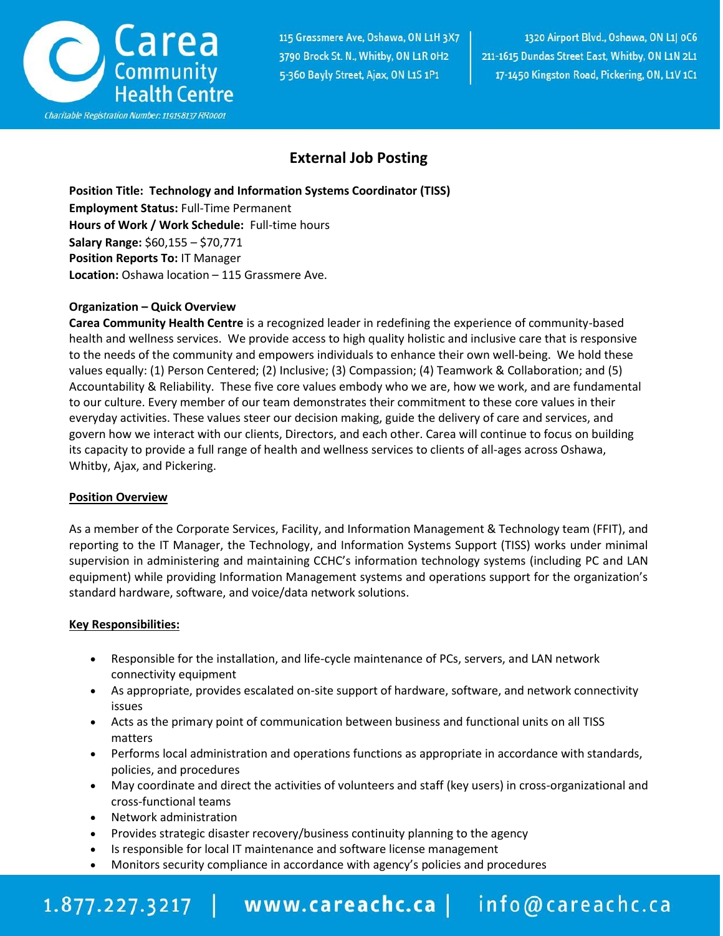

115 Grassmere Ave, Oshawa, ON L1H 3X7 3790 Brock St. N., Whitby, ON L1R 0H2 5-360 Bayly Street, Ajax, ON L1S 1P1

1320 Airport Blvd., Oshawa, ON L1| 0C6 211-1615 Dundas Street East, Whitby, ON L1N 2L1 17-1450 Kingston Road, Pickering, ON, L1V 1C1

### **External Job Posting**

**Position Title: Technology and Information Systems Coordinator (TISS) Employment Status:** Full-Time Permanent **Hours of Work / Work Schedule:** Full-time hours **Salary Range:** \$60,155 – \$70,771 **Position Reports To:** IT Manager **Location:** Oshawa location – 115 Grassmere Ave.

#### **Organization – Quick Overview**

**Carea Community Health Centre** is a recognized leader in redefining the experience of community-based health and wellness services. We provide access to high quality holistic and inclusive care that is responsive to the needs of the community and empowers individuals to enhance their own well-being. We hold these values equally: (1) Person Centered; (2) Inclusive; (3) Compassion; (4) Teamwork & Collaboration; and (5) Accountability & Reliability. These five core values embody who we are, how we work, and are fundamental to our culture. Every member of our team demonstrates their commitment to these core values in their everyday activities. These values steer our decision making, guide the delivery of care and services, and govern how we interact with our clients, Directors, and each other. Carea will continue to focus on building its capacity to provide a full range of health and wellness services to clients of all-ages across Oshawa, Whitby, Ajax, and Pickering.

#### **Position Overview**

As a member of the Corporate Services, Facility, and Information Management & Technology team (FFIT), and reporting to the IT Manager, the Technology, and Information Systems Support (TISS) works under minimal supervision in administering and maintaining CCHC's information technology systems (including PC and LAN equipment) while providing Information Management systems and operations support for the organization's standard hardware, software, and voice/data network solutions.

#### **Key Responsibilities:**

- Responsible for the installation, and life-cycle maintenance of PCs, servers, and LAN network connectivity equipment
- As appropriate, provides escalated on-site support of hardware, software, and network connectivity issues
- Acts as the primary point of communication between business and functional units on all TISS matters
- Performs local administration and operations functions as appropriate in accordance with standards, policies, and procedures
- May coordinate and direct the activities of volunteers and staff (key users) in cross-organizational and cross-functional teams
- Network administration
- Provides strategic disaster recovery/business continuity planning to the agency
- Is responsible for local IT maintenance and software license management
- Monitors security compliance in accordance with agency's policies and procedures

# 1.877.227.3217 | www.careachc.ca | info@careachc.ca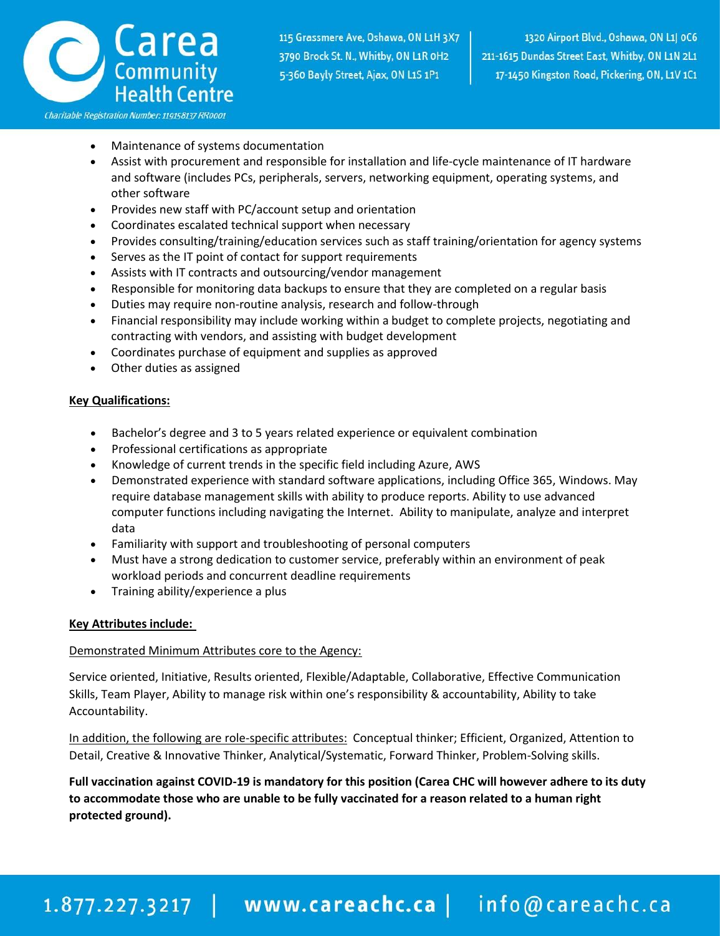

- Maintenance of systems documentation
- Assist with procurement and responsible for installation and life-cycle maintenance of IT hardware and software (includes PCs, peripherals, servers, networking equipment, operating systems, and other software
- Provides new staff with PC/account setup and orientation
- Coordinates escalated technical support when necessary
- Provides consulting/training/education services such as staff training/orientation for agency systems
- Serves as the IT point of contact for support requirements
- Assists with IT contracts and outsourcing/vendor management
- Responsible for monitoring data backups to ensure that they are completed on a regular basis
- Duties may require non-routine analysis, research and follow-through
- Financial responsibility may include working within a budget to complete projects, negotiating and contracting with vendors, and assisting with budget development
- Coordinates purchase of equipment and supplies as approved
- Other duties as assigned

#### **Key Qualifications:**

- Bachelor's degree and 3 to 5 years related experience or equivalent combination
- Professional certifications as appropriate
- Knowledge of current trends in the specific field including Azure, AWS
- Demonstrated experience with standard software applications, including Office 365, Windows. May require database management skills with ability to produce reports. Ability to use advanced computer functions including navigating the Internet. Ability to manipulate, analyze and interpret data
- Familiarity with support and troubleshooting of personal computers
- Must have a strong dedication to customer service, preferably within an environment of peak workload periods and concurrent deadline requirements
- Training ability/experience a plus

#### **Key Attributes include:**

#### Demonstrated Minimum Attributes core to the Agency:

Service oriented, Initiative, Results oriented, Flexible/Adaptable, Collaborative, Effective Communication Skills, Team Player, Ability to manage risk within one's responsibility & accountability, Ability to take Accountability.

In addition, the following are role-specific attributes: Conceptual thinker; Efficient, Organized, Attention to Detail, Creative & Innovative Thinker, Analytical/Systematic, Forward Thinker, Problem-Solving skills.

**Full vaccination against COVID-19 is mandatory for this position (Carea CHC will however adhere to its duty to accommodate those who are unable to be fully vaccinated for a reason related to a human right protected ground).**

## 1.877.227.3217 | www.careachc.ca | info@careachc.ca